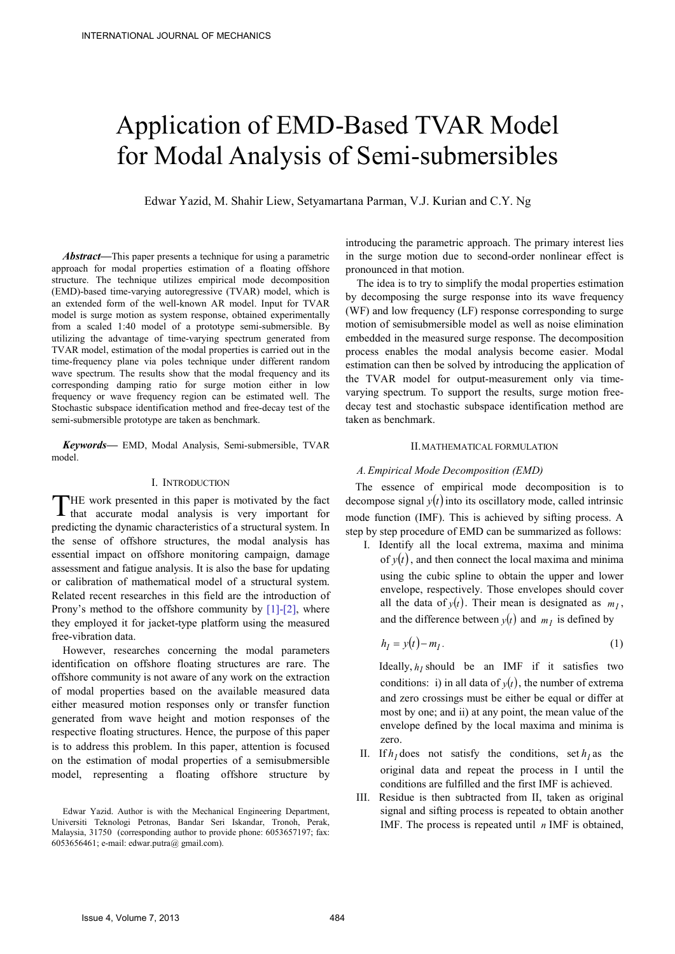# Application of EMD-Based TVAR Model for Modal Analysis of Semi-submersibles

Edwar Yazid, M. Shahir Liew, Setyamartana Parman, V.J. Kurian and C.Y. Ng

*Abstract***—**This paper presents a technique for using a parametric approach for modal properties estimation of a floating offshore structure. The technique utilizes empirical mode decomposition (EMD)-based time-varying autoregressive (TVAR) model, which is an extended form of the well-known AR model. Input for TVAR model is surge motion as system response, obtained experimentally from a scaled 1:40 model of a prototype semi-submersible. By utilizing the advantage of time-varying spectrum generated from TVAR model, estimation of the modal properties is carried out in the time-frequency plane via poles technique under different random wave spectrum. The results show that the modal frequency and its corresponding damping ratio for surge motion either in low frequency or wave frequency region can be estimated well. The Stochastic subspace identification method and free-decay test of the semi-submersible prototype are taken as benchmark.

*Keywords***—** EMD, Modal Analysis, Semi-submersible, TVAR model.

## I. INTRODUCTION

THE work presented in this paper is motivated by the fact THE work presented in this paper is motivated by the fact<br>that accurate modal analysis is very important for predicting the dynamic characteristics of a structural system. In the sense of offshore structures, the modal analysis has essential impact on offshore monitoring campaign, damage assessment and fatigue analysis. It is also the base for updating or calibration of mathematical model of a structural system. Related recent researches in this field are the introduction of Prony's method to the offshore community by [1]-[2], where they employed it for jacket-type platform using the measured free-vibration data.

However, researches concerning the modal parameters identification on offshore floating structures are rare. The offshore community is not aware of any work on the extraction of modal properties based on the available measured data either measured motion responses only or transfer function generated from wave height and motion responses of the respective floating structures. Hence, the purpose of this paper is to address this problem. In this paper, attention is focused on the estimation of modal properties of a semisubmersible model, representing a floating offshore structure by

introducing the parametric approach. The primary interest lies in the surge motion due to second-order nonlinear effect is pronounced in that motion.

The idea is to try to simplify the modal properties estimation by decomposing the surge response into its wave frequency (WF) and low frequency (LF) response corresponding to surge motion of semisubmersible model as well as noise elimination embedded in the measured surge response. The decomposition process enables the modal analysis become easier. Modal estimation can then be solved by introducing the application of the TVAR model for output-measurement only via timevarying spectrum. To support the results, surge motion freedecay test and stochastic subspace identification method are taken as benchmark.

## II.MATHEMATICAL FORMULATION

### *A.Empirical Mode Decomposition (EMD)*

The essence of empirical mode decomposition is to decompose signal  $y(t)$  into its oscillatory mode, called intrinsic mode function (IMF). This is achieved by sifting process. A step by step procedure of EMD can be summarized as follows:

I. Identify all the local extrema, maxima and minima of  $y(t)$ , and then connect the local maxima and minima using the cubic spline to obtain the upper and lower envelope, respectively. Those envelopes should cover all the data of  $y(t)$ . Their mean is designated as  $m<sub>l</sub>$ , and the difference between  $y(t)$  and  $m_l$  is defined by

$$
h_l = y(t) - m_l. \tag{1}
$$

Ideally,  $h_l$  should be an IMF if it satisfies two conditions: i) in all data of  $y(t)$ , the number of extrema and zero crossings must be either be equal or differ at most by one; and ii) at any point, the mean value of the envelope defined by the local maxima and minima is zero.

- II. If  $h_l$  does not satisfy the conditions, set  $h_l$  as the original data and repeat the process in I until the conditions are fulfilled and the first IMF is achieved.
- III. Residue is then subtracted from II, taken as original signal and sifting process is repeated to obtain another IMF. The process is repeated until *n* IMF is obtained,

Edwar Yazid. Author is with the Mechanical Engineering Department, Universiti Teknologi Petronas, Bandar Seri Iskandar, Tronoh, Perak, Malaysia, 31750 (corresponding author to provide phone: 6053657197; fax: 6053656461; e-mail: edwar.putra@ gmail.com).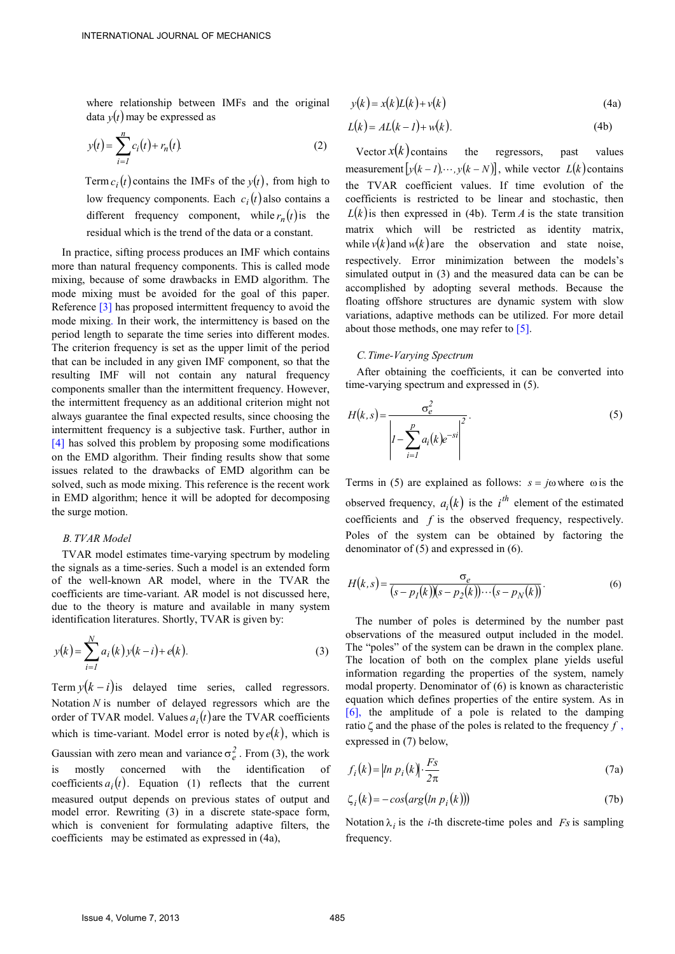where relationship between IMFs and the original data  $y(t)$  may be expressed as

$$
y(t) = \sum_{i=1}^{n} c_i(t) + r_n(t).
$$
 (2)

Term  $c_i(t)$  contains the IMFs of the  $y(t)$ , from high to low frequency components. Each  $c_i(t)$  also contains a different frequency component, while  $r_n(t)$  is the residual which is the trend of the data or a constant.

In practice, sifting process produces an IMF which contains more than natural frequency components. This is called mode mixing, because of some drawbacks in EMD algorithm. The mode mixing must be avoided for the goal of this paper. Reference [3] has proposed intermittent frequency to avoid the mode mixing. In their work, the intermittency is based on the period length to separate the time series into different modes. The criterion frequency is set as the upper limit of the period that can be included in any given IMF component, so that the resulting IMF will not contain any natural frequency components smaller than the intermittent frequency. However, the intermittent frequency as an additional criterion might not always guarantee the final expected results, since choosing the intermittent frequency is a subjective task. Further, author in [4] has solved this problem by proposing some modifications on the EMD algorithm. Their finding results show that some issues related to the drawbacks of EMD algorithm can be solved, such as mode mixing. This reference is the recent work in EMD algorithm; hence it will be adopted for decomposing the surge motion.

# *B.TVAR Model*

TVAR model estimates time-varying spectrum by modeling the signals as a time-series. Such a model is an extended form of the well-known AR model, where in the TVAR the coefficients are time-variant. AR model is not discussed here, due to the theory is mature and available in many system identification literatures. Shortly, TVAR is given by:

$$
y(k) = \sum_{i=1}^{N} a_i(k) y(k-i) + e(k).
$$
 (3)

Term  $y(k - i)$  is delayed time series, called regressors. Notation *N* is number of delayed regressors which are the order of TVAR model. Values  $a_i(t)$  are the TVAR coefficients which is time-variant. Model error is noted by  $e(k)$ , which is Gaussian with zero mean and variance  $\sigma_e^2$ . From (3), the work is mostly concerned with the identification coefficients  $a_i(t)$ . Equation (1) reflects that the current measured output depends on previous states of output and model error. Rewriting (3) in a discrete state-space form, which is convenient for formulating adaptive filters, the coefficients may be estimated as expressed in (4a),

$$
y(k) = x(k)L(k) + v(k)
$$
\n(4a)

$$
L(k) = AL(k - 1) + w(k).
$$
 (4b)

Vector  $x(k)$  contains the regressors, past values measurement  $[y(k-1), \dots, y(k-N)]$ , while vector  $L(k)$  contains the TVAR coefficient values. If time evolution of the coefficients is restricted to be linear and stochastic, then  $L(k)$  is then expressed in (4b). Term *A* is the state transition matrix which will be restricted as identity matrix, while  $v(k)$  and  $w(k)$  are the observation and state noise, respectively. Error minimization between the models's simulated output in (3) and the measured data can be can be accomplished by adopting several methods. Because the floating offshore structures are dynamic system with slow variations, adaptive methods can be utilized. For more detail about those methods, one may refer to  $\lceil 5 \rceil$ .

#### *C.Time-Varying Spectrum*

 After obtaining the coefficients, it can be converted into time-varying spectrum and expressed in (5).

$$
H(k,s) = \frac{\sigma_e^2}{\left| I - \sum_{i=1}^p a_i(k)e^{-si} \right|^2}.
$$
\n
$$
(5)
$$

Terms in (5) are explained as follows:  $s = j\omega$  where  $\omega$  is the observed frequency,  $a_i(k)$  is the  $i^{th}$  element of the estimated coefficients and *f* is the observed frequency, respectively. Poles of the system can be obtained by factoring the denominator of (5) and expressed in (6).

$$
H(k,s) = \frac{\sigma_e}{(s - p_I(k))(s - p_2(k)) \cdots (s - p_N(k))}.
$$
\n(6)

The number of poles is determined by the number past observations of the measured output included in the model. The "poles" of the system can be drawn in the complex plane. The location of both on the complex plane yields useful information regarding the properties of the system, namely modal property. Denominator of (6) is known as characteristic equation which defines properties of the entire system. As in [6], the amplitude of a pole is related to the damping ratio  $\zeta$  and the phase of the poles is related to the frequency  $f$ , expressed in (7) below,

$$
f_i(k) = |ln p_i(k)| \cdot \frac{Fs}{2\pi}
$$
 (7a)

$$
\zeta_i(k) = -\cos(\arg(\ln p_i(k)))\tag{7b}
$$

Notation  $\lambda_i$  is the *i*-th discrete-time poles and *Fs* is sampling frequency.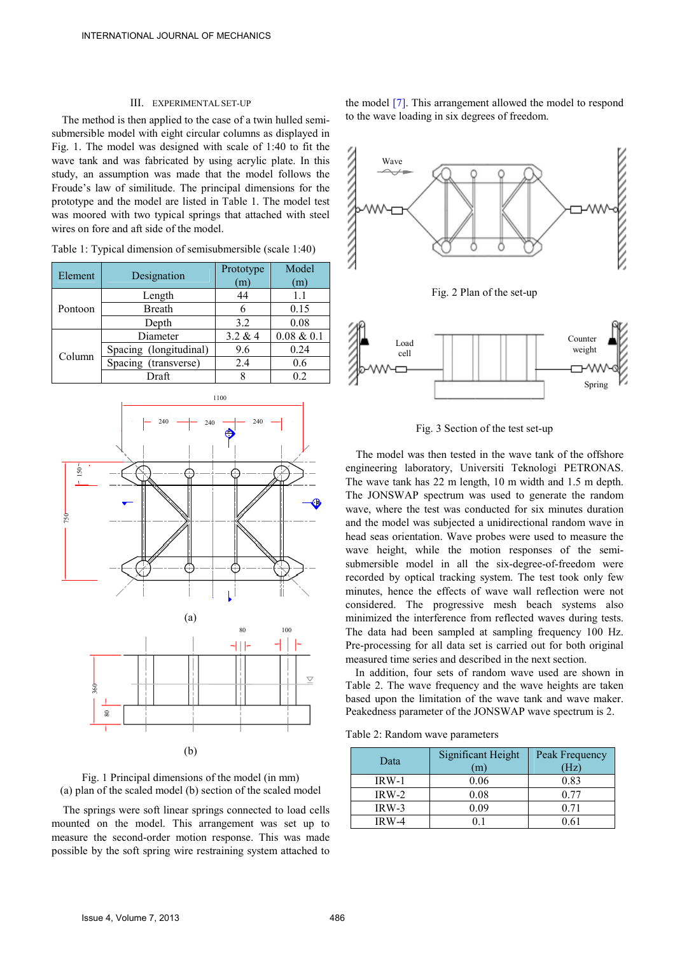#### III. EXPERIMENTAL SET-UP

The method is then applied to the case of a twin hulled semisubmersible model with eight circular columns as displayed in Fig. 1. The model was designed with scale of 1:40 to fit the wave tank and was fabricated by using acrylic plate. In this study, an assumption was made that the model follows the Froude's law of similitude. The principal dimensions for the prototype and the model are listed in Table 1. The model test was moored with two typical springs that attached with steel wires on fore and aft side of the model.

| Element | Designation            | Prototype<br>$\mathbf{m}$ | Model<br>(m)  |
|---------|------------------------|---------------------------|---------------|
| Pontoon | Length                 | 44                        | 11            |
|         | <b>Breath</b>          | 6                         | 0.15          |
|         | Depth                  | 32                        | 0.08          |
| Column  | Diameter               | 3.2 & 4                   | $0.08 \& 0.1$ |
|         | Spacing (longitudinal) | 9.6                       | 0.24          |
|         | Spacing (transverse)   | 2.4                       | 0.6           |
|         | Draft                  |                           | 0.2           |

Table 1: Typical dimension of semisubmersible (scale 1:40)





The springs were soft linear springs connected to load cells mounted on the model. This arrangement was set up to measure the second-order motion response. This was made possible by the soft spring wire restraining system attached to the model [7]. This arrangement allowed the model to respond to the wave loading in six degrees of freedom.



Fig. 3 Section of the test set-up

The model was then tested in the wave tank of the offshore engineering laboratory, Universiti Teknologi PETRONAS. The wave tank has 22 m length, 10 m width and 1.5 m depth. The JONSWAP spectrum was used to generate the random wave, where the test was conducted for six minutes duration and the model was subjected a unidirectional random wave in head seas orientation. Wave probes were used to measure the wave height, while the motion responses of the semisubmersible model in all the six-degree-of-freedom were recorded by optical tracking system. The test took only few minutes, hence the effects of wave wall reflection were not considered. The progressive mesh beach systems also minimized the interference from reflected waves during tests. The data had been sampled at sampling frequency 100 Hz. Pre-processing for all data set is carried out for both original measured time series and described in the next section.

In addition, four sets of random wave used are shown in Table 2. The wave frequency and the wave heights are taken based upon the limitation of the wave tank and wave maker. Peakedness parameter of the JONSWAP wave spectrum is 2.

Table 2: Random wave parameters

| Data    | Significant Height<br>(m) | Peak Frequency<br>Ήz |
|---------|---------------------------|----------------------|
| IRW-1   | 0.06                      | 0.83                 |
| $IRW-2$ | 0.08                      |                      |
| $IRW-3$ | 0.09                      | 0.71                 |
| $IRW-4$ |                           | .6                   |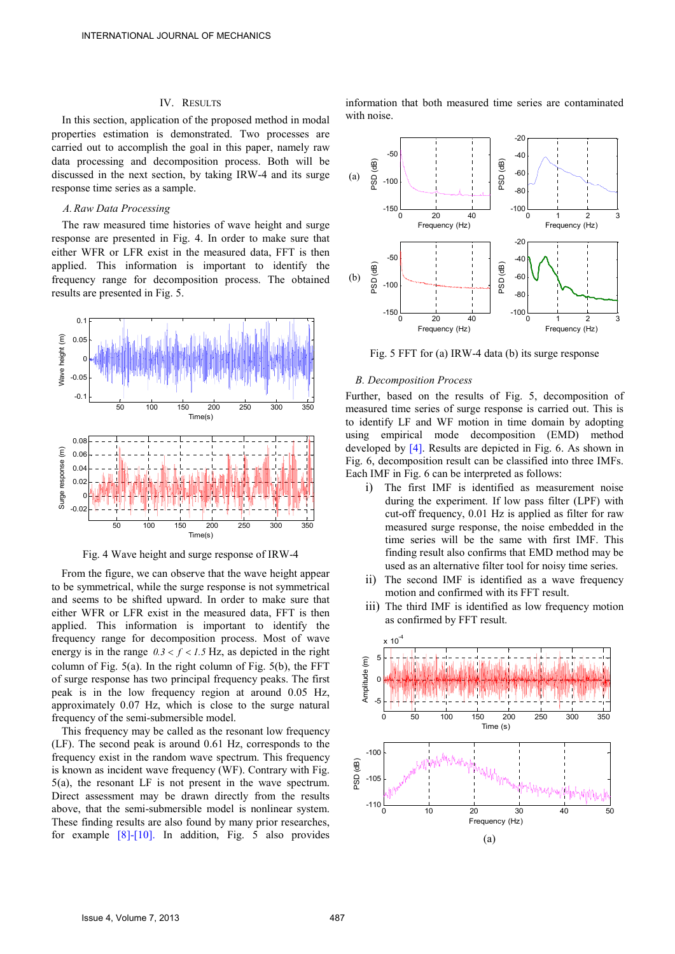## IV. RESULTS

In this section, application of the proposed method in modal properties estimation is demonstrated. Two processes are carried out to accomplish the goal in this paper, namely raw data processing and decomposition process. Both will be discussed in the next section, by taking IRW-4 and its surge response time series as a sample.

### *A.Raw Data Processing*

The raw measured time histories of wave height and surge response are presented in Fig. 4. In order to make sure that either WFR or LFR exist in the measured data, FFT is then applied. This information is important to identify the frequency range for decomposition process. The obtained results are presented in Fig. 5.



Fig. 4 Wave height and surge response of IRW-4

From the figure, we can observe that the wave height appear to be symmetrical, while the surge response is not symmetrical and seems to be shifted upward. In order to make sure that either WFR or LFR exist in the measured data, FFT is then applied. This information is important to identify the frequency range for decomposition process. Most of wave energy is in the range  $0.3 < f < 1.5$  Hz, as depicted in the right column of Fig. 5(a). In the right column of Fig. 5(b), the FFT of surge response has two principal frequency peaks. The first peak is in the low frequency region at around 0.05 Hz, approximately 0.07 Hz, which is close to the surge natural frequency of the semi-submersible model.

This frequency may be called as the resonant low frequency (LF). The second peak is around 0.61 Hz, corresponds to the frequency exist in the random wave spectrum. This frequency is known as incident wave frequency (WF). Contrary with Fig. 5(a), the resonant LF is not present in the wave spectrum. Direct assessment may be drawn directly from the results above, that the semi-submersible model is nonlinear system. These finding results are also found by many prior researches, for example [8]-[10]. In addition, Fig. 5 also provides information that both measured time series are contaminated with noise.



Fig. 5 FFT for (a) IRW-4 data (b) its surge response

## *B. Decomposition Process*

Further, based on the results of Fig. 5, decomposition of measured time series of surge response is carried out. This is to identify LF and WF motion in time domain by adopting using empirical mode decomposition (EMD) method developed by [4]. Results are depicted in Fig. 6. As shown in Fig. 6, decomposition result can be classified into three IMFs. Each IMF in Fig. 6 can be interpreted as follows:

- i) The first IMF is identified as measurement noise during the experiment. If low pass filter (LPF) with cut-off frequency, 0.01 Hz is applied as filter for raw measured surge response, the noise embedded in the time series will be the same with first IMF. This finding result also confirms that EMD method may be used as an alternative filter tool for noisy time series.
- ii) The second IMF is identified as a wave frequency motion and confirmed with its FFT result.
- iii) The third IMF is identified as low frequency motion as confirmed by FFT result.

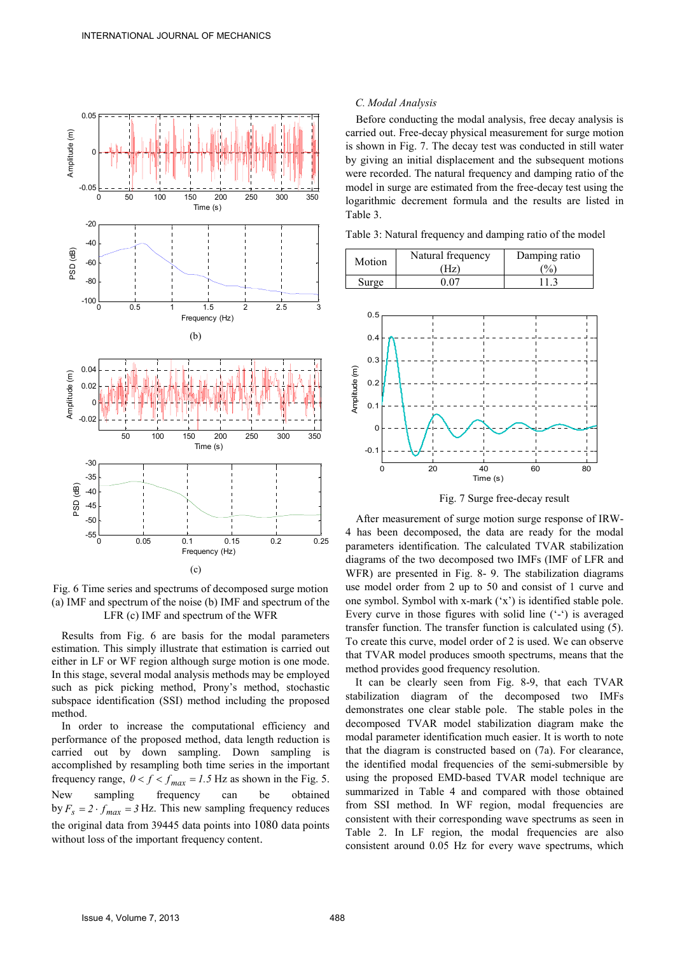

Fig. 6 Time series and spectrums of decomposed surge motion (a) IMF and spectrum of the noise (b) IMF and spectrum of the LFR (c) IMF and spectrum of the WFR

Results from Fig. 6 are basis for the modal parameters estimation. This simply illustrate that estimation is carried out either in LF or WF region although surge motion is one mode. In this stage, several modal analysis methods may be employed such as pick picking method, Prony's method, stochastic subspace identification (SSI) method including the proposed method.

In order to increase the computational efficiency and performance of the proposed method, data length reduction is carried out by down sampling. Down sampling is accomplished by resampling both time series in the important frequency range,  $0 < f < f_{max} = 1.5$  Hz as shown in the Fig. 5. New sampling frequency can be obtained by  $F_s = 2 \cdot f_{max} = 3$  Hz. This new sampling frequency reduces the original data from 39445 data points into 1080 data points without loss of the important frequency content.

## *C. Modal Analysis*

Before conducting the modal analysis, free decay analysis is carried out. Free-decay physical measurement for surge motion is shown in Fig. 7. The decay test was conducted in still water by giving an initial displacement and the subsequent motions were recorded. The natural frequency and damping ratio of the model in surge are estimated from the free-decay test using the logarithmic decrement formula and the results are listed in Table 3.

Table 3: Natural frequency and damping ratio of the model





Fig. 7 Surge free-decay result

After measurement of surge motion surge response of IRW-4 has been decomposed, the data are ready for the modal parameters identification. The calculated TVAR stabilization diagrams of the two decomposed two IMFs (IMF of LFR and WFR) are presented in Fig. 8- 9. The stabilization diagrams use model order from 2 up to 50 and consist of 1 curve and one symbol. Symbol with x-mark ('x') is identified stable pole. Every curve in those figures with solid line ('-') is averaged transfer function. The transfer function is calculated using (5). To create this curve, model order of 2 is used. We can observe that TVAR model produces smooth spectrums, means that the method provides good frequency resolution.

It can be clearly seen from Fig. 8-9, that each TVAR stabilization diagram of the decomposed two IMFs demonstrates one clear stable pole. The stable poles in the decomposed TVAR model stabilization diagram make the modal parameter identification much easier. It is worth to note that the diagram is constructed based on (7a). For clearance, the identified modal frequencies of the semi-submersible by using the proposed EMD-based TVAR model technique are summarized in Table 4 and compared with those obtained from SSI method. In WF region, modal frequencies are consistent with their corresponding wave spectrums as seen in Table 2. In LF region, the modal frequencies are also consistent around 0.05 Hz for every wave spectrums, which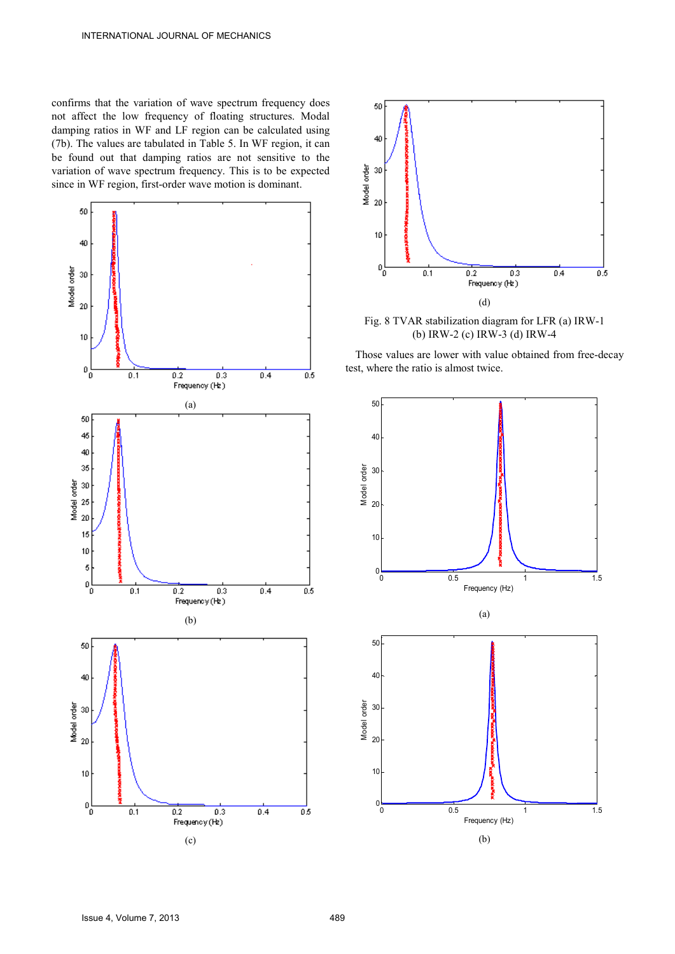confirms that the variation of wave spectrum frequency does not affect the low frequency of floating structures. Modal damping ratios in WF and LF region can be calculated using (7b). The values are tabulated in Table 5. In WF region, it can be found out that damping ratios are not sensitive to the variation of wave spectrum frequency. This is to be expected since in WF region, first-order wave motion is dominant.





Fig. 8 TVAR stabilization diagram for LFR (a) IRW-1 (b) IRW-2 (c) IRW-3 (d) IRW-4

Those values are lower with value obtained from free-decay test, where the ratio is almost twice.

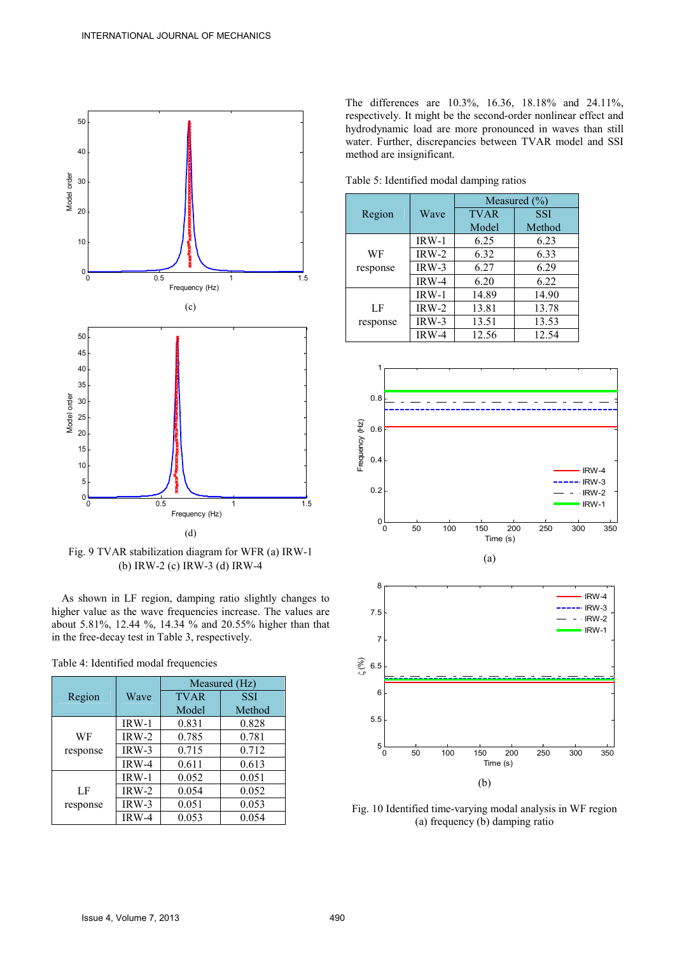

Fig. 9 TVAR stabilization diagram for WFR (a) IRW-1 (b) IRW-2 (c) IRW-3 (d) IRW-4

As shown in LF region, damping ratio slightly changes to higher value as the wave frequencies increase. The values are about 5.81%, 12.44 %, 14.34 % and 20.55% higher than that in the free-decay test in Table 3, respectively.

Table 4: Identified modal frequencies

|          |         | Measured (Hz) |            |
|----------|---------|---------------|------------|
| Region   | Wave    | <b>TVAR</b>   | <b>SSI</b> |
|          |         | Model         | Method     |
|          | $IRW-1$ | 0.831         | 0.828      |
| WF       | $IRW-2$ | 0.785         | 0.781      |
| response | $IRW-3$ | 0.715         | 0.712      |
|          | IRW-4   | 0.611         | 0.613      |
|          | IRW-1   | 0.052         | 0.051      |
| LF       | IRW-2   | 0.054         | 0.052      |
| response | IRW-3   | 0.051         | 0.053      |
|          | IRW-4   | 0.053         | 0.054      |

The differences are 10.3%, 16.36, 18.18% and 24.11%, respectively. It might be the second-order nonlinear effect and hydrodynamic load are more pronounced in waves than still water. Further, discrepancies between TVAR model and SSI method are insignificant.

Table 5: Identified modal damping ratios

|          |         | Measured $(\% )$ |        |
|----------|---------|------------------|--------|
| Region   | Wave    | <b>TVAR</b>      | SSI    |
|          |         | Model            | Method |
|          | $IRW-1$ | 6.25             | 6.23   |
| WF       | IRW-2   | 6.32             | 6.33   |
| response | $IRW-3$ | 6.27             | 6.29   |
|          | IRW-4   | 6.20             | 6.22   |
|          | IRW-1   | 14.89            | 14.90  |
| LF       | IRW-2   | 13.81            | 13.78  |
| response | IRW-3   | 13.51            | 13.53  |
|          | IRW-4   | 12.56            | 12.54  |



0 50 100 150 200 250 300 350  $5\frac{L}{0}$ Time (s) (b)

Fig. 10 Identified time-varying modal analysis in WF region (a) frequency (b) damping ratio